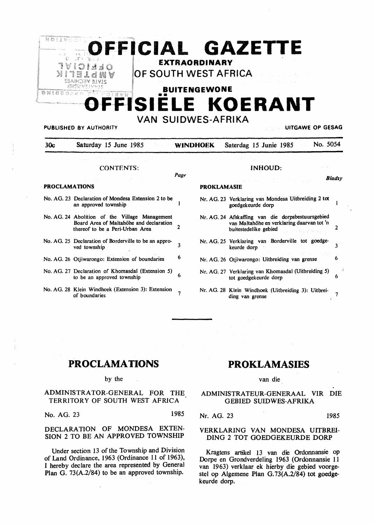

PUBLISHED BY AUTHORITY **UITGAWE** OP **GESAG** 

30c Saturday 15 June 1985 **WINDHOEK** Saterdag 15 Junie 1985 No. 5054

**PROKLAMASIE** 

Page

#### CONTENTS:

#### **PROCLAMATIONS**

- No. AG. 23 Declaration of Mondesa Extension 2 to be an approved township
- No. AG. 24 Abolition of the Village Management Board Area of Maltahöhe and declaration thereof to be a Peri-Urban Area 2
- No. AG. *25* Declaration of Borderville to be an approved township  $\frac{3}{3}$
- No. AG. 26 Otiiwarongo: Extension of boundaries <sup>6</sup>
- No. AG. 27 Declaration of Khomasdal (Extension 5) to be an approved township  $6\frac{1}{2}$
- No. AG. 28 Klein Windhoek (Extension 3): Extension Kiein Windhoek (Extension 3): Extension of boundaries

#### INHOUD:

#### *Blads)•*

 $\mathbf{I}$ 

- Nr. AG. 23 Verklaring van Mondesa Uitbreiding 2 tot goedgekeurde dorp
- Nr. AG. 24 Afskaffing van die dorpsbestuursgebied van Maltahohe en verklaring daarvan tot 'n buitestedelike gebied 2
- Nr. AG. *25* Verklaring van Borderville tot goedgekeurde dorp 3
- Nr. AG. 26 Otjiwarongo: Uitbreiding van grense 6
- Nr. AG. 27 Verklaring van Khomasdal (Uitbreiding 5) tot goedgekeurde dorp 6
- Nr. AG. 28 Klein Windhoek (Uitbreiding 3): Uitbreiding van grense 7

# **PROCLAMATIONS**

#### by the

## ADMINISTRATOR-GENERAL FOR THE TERRITORY OF SOUTH WEST AFRICA

No. AG. 23 1985

### **DECLARA TJON** OF **MONDESA EXTEN-SION** 2 TO BE **AN APPROVED TOWNSHIP**

Under section 13 of the Township and Division of Land Ordinance, 1963 (Ordinance 11 of 1963), I hereby declare the area represented by General Plan G. 73(A.2/84) to be an approved township.

# **PROKLAMASIES**

#### van die

ADMINISTRATEUR-GENERAAL VIR DIE GEBIED SUIDWES-AFRIKA

Nr. AG. 23 1985

#### VERKLARING VAN MONDESA UITBREI-DING 2 TOT GOEDGEKEURDE DORP

Kragtens artikel 13 van die Ordonnansie op Dorpe en Grondverdeling 1963 (Ordonnansie 11 van 1963) verklaar ek hierby die gebied voorgestel op Algemene Plan G. 73(A.2/84) tot goedgekeurde dorp.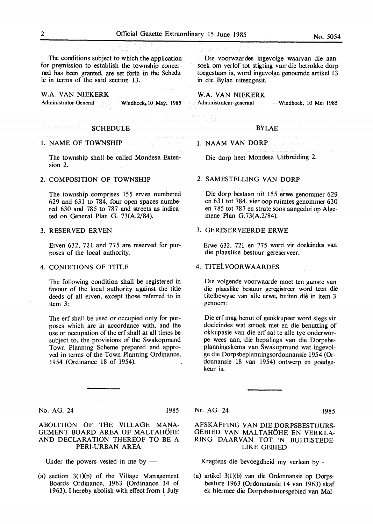The conditions subject to which the application for premission to establish the township concerned has been granted, are set forth in the Schedule in terms of the said section 13.

# **W.A. VAN NIEKERK**

Administrator-General Windhoek, 10 May, 1985

#### SCHEDULE

#### 1. NAME OF TOWNSHIP

The township shall be called Mondesa Extension 2.

#### 2. COMPOSITION OF TOWNSHIP

The township comprises 155 erven numbered 629 and 631 to 784, four open spaces numbered 630 and 785 to 787 and streets as indicated on General Plan G. 73(A.2/84).

#### 3. RESERVED ER VEN

Erven 632, 721 and 775 are reserved for purposes of the local authority.

#### 4. CONDITIONS OF TITLE

The following condition shall be registered in favour of the local authority against the title deeds of all erven, except those referred to in item 3:

The erf shall be used or occupied only for purposes which are in accordance with, and the use or occupation of the erf shall at all times be subject to, the provisions of the Swakopmund Town Planning Scheme prepared and approved in terms of the Town Planning Ordinance, 1954 (Ordinance 18 of 1954).

No. AG. 24 1985

#### ABOLITION OF THE VILLAGE MANA-GEMENT BOARD AREA OF MALTAHÖHE AND DECLARATION THEREOF TO BE A PERI-URBAN AREA

Under the powers vested in me by  $-$ 

(a) section  $3(1)(b)$  of the Village Management Boards Ordinance, 1963 (Ordinance 14 of 1963), I hereby abolish with effect from 1 July

Die voorwaardes ingevolge waarvan die aansoek om verlof tot stigting van die betrokke dorp toegestaan is, word ingevolge genoemde artikel 13 in die By lae uiteengesit.

**W.A. VAN NIEKERK**  Administrateur-generaal Windhoek, 10 Mei 1985

# BYLAE

#### 1. NAAM VAN DORP

Die dorp heet Mondesa Uitbreiding 2.

#### 2. SAMESTELLING VAN DORP

Die dorp bestaan uit 155 erwe genommer 629 en 631 tot 784, vier oop ruimtes genommer 630 en 785 tot 787 en strate soos aangedui op Algemene Plan G.73(A.2/84).

#### 3. GERESERVEERDE ERWE

Erwe 632, 721 en 775 word vir doeleindes van die plaaslike bestuur gereserveer.

#### 4. TITElVOORWAARDES

Die volgende voorwaarde moet ten gunste van die plaaslike bestuur geregistreer word teen die titelbewyse van alle erwe, buiten die in item 3 genoem:

Die erf mag benut of geokkupeer word slegs vir doeleindes wat strook met en die benutting of okkupasie van die erf sal te alle tye onderworpe wees aan, die bepalings van die Dorpsbeplann ingskema van Swakopmund wat ingevolge die Dorpsbeplanningsordonnansie 1954 (Ordonnansie 18 van 1954) ontwerp en goedgekeur is.

#### Nr. AG. 24 1985

## AFSKAFFING VAN DIE DORPSBESTUURS-GEBIED VAN MALTAHOHE EN VERKLA-RING DAARVAN TOT 'N BUITESTEDE-LIKE GEBIED

Kragtens die bevoegdheid my verleen by -

(a) artikel 3(1Xb) van die Ordonnansie op Dorpsbesture 1963 (Ordonnansie 14 van 1963) skaf ek hiermee die Dorpsbestuursgebied van Mal-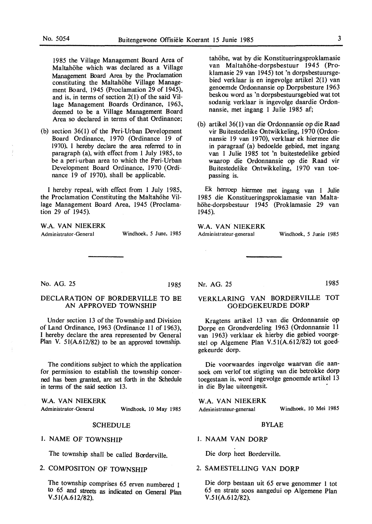19 85 the Village Management Board Area of Maltahöhe which was declared as a Village Management Board Area by the Proclamation constituting the Maltahöhe Village Management Board, 1945 (Proclamation 29 of 1945), and is, in terms of section 2(1) of the said Village Management Boards Ordinance, 1963, deemed to be a Village Management Board Area so declared in terms of that Ordinance;

(b) section 36(1) of the Peri-Urban Development Board Ordinance, 1970 (Ordinance 19 of 1970), I hereby declare the area referred to in paragraph (a), with effect from 1 July 1985, to be a peri-urban area to which the Peri-Urban Development Board Ordinance, 1970 (Ordinance 19 of 1970), shall be applicable.

I hereby repeal, with effect from 1 July 1985, the Proclamation Constituting the Maltahöhe Village Management Board Area, 1945 (Proclamation 29 of 1945).

**W.A. VAN NIEKERK** 

Administrator-General Windhoek, *5* June, 1985

tahöhe, wat by die Konstitueringsproklamasie van Maltahöhe-dorpsbestuur 1945 (Proklamasie 29 van 1945) tot 'n dorpsbestuursgebied verklaar is en ingevolge artikel 2(1) van genoemde Ordonnansie op Dorpsbesture 1963 beskou word as 'n dorpsbestuursgebied wat tot sodanig verklaar is ingevolge daardie Ordonnansie, met ingang 1 Julie 1985 af;

(b) artikel 36(1) van die Ordonnansie op die Raad vir Buitestedelike Ontwikkeling, 1970 (Ordonnansie 19 van 1970), verklaar ek hiermee die in paragraaf (a) bedoelde gebied, met ingang van 1 Julie 1985 tot 'n buitestedelike gebied waarop die Ordonnansie op die- Raad vir Buitestedelike Ontwikkeling, 1970 van toepassing is.

Ek herroep hiermee met ingang van 1 Julie 1985 die Konstitueringsproklamasie van Maltahöhe-dorpsbestuur 1945 (Proklamasie 29 van 1945).

**W.A. VAN NIEKERK**  Administrateur-generaal Windhoek, *5* Junie 1985

No. AG. 25 1985

# DECLARATION OF BORDERVILLE TO BE **AN APPROVED TOWNSHIP**

Under section 13 of the Township and Division of Land Ordinance, 1963 (Ordinance 11 of 1963), I hereby declare the area represented by General Plan V. 51(A.612/82) to be an approved township.

The conditions subject to which the application for permission to establish the township concerned has been granted, are set forth in the Schedule in terms of the said section 13.

**W.A. VAN NIEKERK**  Administrator-General Windhoek, 10 May 1985

#### SCHEDULE

# I. NAME OF TOWNSHIP

The township shall be called Borderville.

# 2. COMPOSITON OF TOWNSHIP

The township comprises 65 erven numbered 1 to *65* and streets as indicated on General Plan V.51 (A.612/82).

Nr. AG. 25 1985

# **VERKLARING VAN BORDERVILLE** TOT GOEDGEKEURDE **DORP**

Kragtens artikel 13 van die Ordonnansie op Dorpe en Grondverdeling 1963 (Ordonnansie 11 van 1963) verklaar ek hierby die gebied voorgestel op Algemene Plan V.5 l(A.612/82) tot goedgekeurde dorp.

Die voorwaardes ingevolge waarvan die aansoek om verlof tot stigting van die betrokke dorp toegestaan is, word ingevolge genoemde artikel 13 in die Bylae uiteengesit.

**W.A. VAN NIEKERK**  Administrateur-generaal Windhoek, 10 Mei 1985

#### BYLAE

# 1. NAAM VAN DORP

Die dorp heet Borderville.

#### 2. SAMESTELLING VAN DORP

Die dorp bestaan uit 65 erwe genommer 1 tot 65 en strate soos aangedui op Algemene Plan V.5 l(A.612/82).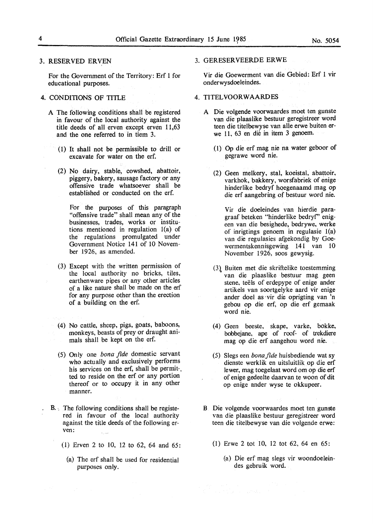#### 3. RESERVED ERVEN

For the Government of the Territory: Erf l for educational purposes.

# 4. CONDITIONS OF TITLE

- A The following conditions shall be registered in favour of the local authority against the title deeds of all erven except erven 11,63 and the one referred to in tiem 3.
	- ( l) It shall not be permissible to drill or excavate for water on the erf.
	- (2) No dairy, stable, cowshed, abattoir, piggery, bakery, sausage factory or any offensive trade whatsoever shall be established or conducted on the erf.

For the purposes of this paragraph "offensive trade" shall mean any of the businesses, trades, works or institutions mentioned in regulation l(a) of the regulations promulgated under Government Notice 141 of 10 November 1926, as amended.

- (3) Except with the written permission of the local authority no bricks, tiles, earthenware pipes or any other articles of a like nature shall be made on the erf for any purpose other than the erection of a building on the erf.
- (4) No cattle, sheep, pigs, goats, baboons, monkeys, beasts of prey or draught animals shall be kept on the erf.
- (5) Only one *bona fide* domestic servant who actually and exclusively performs his services on the erf, shall be permit-. ted to reside on the erf or any portion thereof or to occupy it in any other manner.
- B. The following conditions shall be registered in favour of the local authority against the title deeds of the following erven: i<br>Sipa
	- (1) Erven 2 to 10, 12 to 62, 64 and 65:
		- (a) The erf shall be used for residential purposes only.

3. GERESERVEERDE **ERWE** 

Vir die Goewerment van die Gebied: Erf 1 vir onderwysdoeleindes.

#### 4. TITELVOORWAARDES

- A Die volgende voorwaardes moet ten gunste van die plaaslike bestuur geregistreer word teen die titelbewyse van alle erwe buiten erwe 11, 63 en dié in item 3 genoem.
	- (l) Op die erf mag nie na water geboor of gegrawe word nie.
	- (2) Geen melkery, stal, koeistal, abattoir, varkhok, bakkery, worsfabriek of enige hinderlike bedryf hoegenaamd mag op die erf aangebring of bestuur word nie.

Vir die doeleindes van hierdie paragraaf beteken "hinderlike bedryf' enigeen van die besighede, bedrywe, werke of inrigtings genoem in regulasie l(a) van die regulasies afgekondig by Goewermentskennisgewing 141 van 10 November 1926, soos gewysig.

- (3\ Buiten met die skriftelike toestemming van die plaaslike bestuur mag geen stene, teëls of erdepype of enige ander artikels van soortgelyke aard vir enige ander doe! as ·vir die oprigting van 'n gebou op die erf, op die erf gemaak word nie.
- (4) Geen beeste, skape, varke, bokke, bobbejane, ape of roof- of trekdiere mag op die erf aangehou word nie.
- (5) Slegs een *bona fide* huisbediende wat sy dienste werklik en uitsluitlik op die erf !ewer, mag toegelaat word om op die erf of enige gedeelte daarvan te woon of dit op enige ander wyse te okkupeer.
- B Die volgende voorwaardes moet ten gunste van die plaaslike bestuur geregistreer word teen die titelbewyse van die volgende erwe:
	- (1) Erwe 2 tot IO, 12 tot 62, 64 en 65:
		- (a) Die erf mag slegs vir woondoeleindes gebruik word.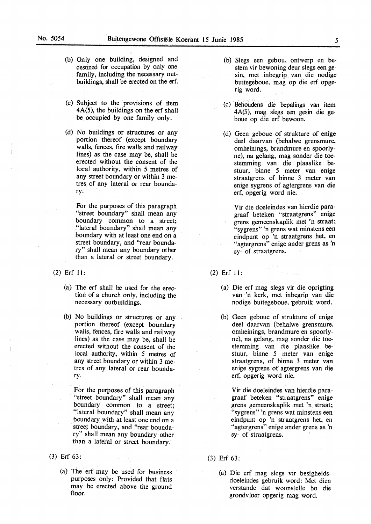- (b) Only one building, designed and destined for occupation by only one family, including the necessary outbuildings, shall be erected on the erf.
- (c) Subject to the provisions of item 4A(5), the buildings on the erf shall be occupied by one family only.
- (d) No buildings or structures or any portion thereof (except boundary walls, fences, fire walls and railway lines) as the case may be, shall be erected without the consent of the local authority, within *5* metres of any street boundary or within 3 metres of any lateral or rear boundary.

For the purposes of this paragraph "street boundary" shall mean any boundary common to a street; ,"lateral boundary" shall mean any boundary with at least one end on a street boundary, and "rear boundary" shall mean any boundary other than a lateral or street boundary.

- (2) Erf 11:
	- (a) The erf shall be used for the erection of a church only, including the necessary outbuildings.
	- (b) No buildings or structures or any portion thereof (except boundary walls, fences, fire walls and railway lines) as the case may be, shall be erected without the consent of the local authority, within *5* metres of any street boundary or within 3 metres of any lateral or rear boundary.

For the purposes of this paragraph "street boundary" shall mean any boundary common to a street; "lateral boundary" shall mean any boundary with at least one end on a street boundary, and "rear boundary" shall mean any boundary other than a lateral or street boundary.

- (3) Erf 63:
	- (a) The erf may be used for business purposes only: Provided that flats may be erected above the ground floor.
- (b) Slegs een gebou, ontwerp en bestem vir bewoning deur slegs een gesin, met inbegrip van die nodige buitegeboue, mag op die erf opgerig word.
- (c) Behoudens die bepalings van item 4A(5), mag slegs een gesin die geboue op d'ie erf bewoon.
- (d) Geen geboue of strukture of enige dee! daarvan (behalwe grensmure, omheinings, brandmure en spoorlyne), na gelang, mag sonder die toestemming van die plaaslike bestuur, binne *5* meter van enige straatgrens of binne 3 meter van enige sygrens of agtergrens van die erf, opgerig word nie.

Vir die doeleindes van hierdie paragraaf beteken "straatgrens" enige grens gemeenskaplik met 'n straat; "sygrens" 'n grens wat minstens een eindpunt op 'n straatgrens het, en "agtergrens" enige ander grens as 'n sy- of straatgrens.

- (2) Erf 11:
	- (a) Die erf mag slegs vir die oprigting van 'n kerk, met inbegrip van die nodige buitegeboue, gebruik word.
	- (b) Geen geboue of strukture of enige deel daarvan (behalwe grensmure, omheinings, brandmure en spoorlyne), na gelang, mag sonder die toestemming van die plaaslike bestuur, binne *5* meter van enige straatgrens, of binne 3 meter van enige sygrens of agtergrens van die erf, opgerig word nie.

Vir die doeleindes van hierdie paragraaf beteken "straatgrens" enige grens gemeenskaplik met 'n straat; "sygrens" 'n grens wat minstens een eindpunt op 'n straatgrens het, en "agtergrens" enige ander grens as 'n sy- of straatgrens.

- (3) Erf 63:
	- (a) Die erf mag slegs vir besigheidsdoeleindes gebruik word: Met dien verstande dat woonstelle bo die grondvloer opgerig mag word.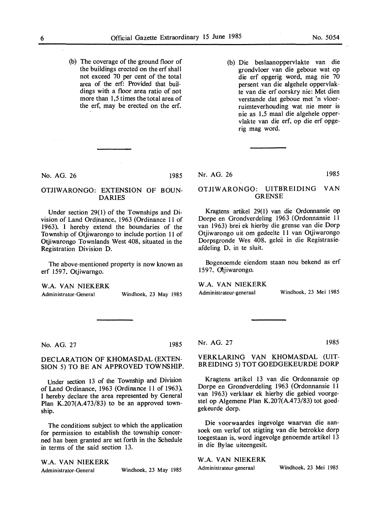- (b) The coverage of the ground floor of the buildings erected on the erf shall not exceed 70 per cent of the total area of the erf: Provided that buildings with a floor area ratio of not more than 1,5 times the total area of the erf, may be erected on the erf.
- (b) Die beslaanoppervlakte van die grondvloer van die geboue wat op die erf opgerig word, mag nie 70 persent van die algehele oppervlakte van die erf oorskry nie: Met dien verstande dat geboue met 'n vloerruimteverhouding wat nie meer is nie as 1,5 maal die algehele oppervlakte van die erf, op die erf opgerig mag word.

No. AG. 26 1985

# OTJIWARONGO: EXTENSION OF BOUN-**DARIES**

Under section 29(1) of the Townships and Division of Land Ordinance, 1963 (Ordinance 11 of 1963), I hereby extend the boundaries of the Township of Otjiwarongo to include portion 11 of Otjiwarongo Townlands West 408, situated in the Registration Division D.

The above-mentioned property is now known as erf 1597, Otjiwarngo.

**W .A. VAN NIEKERK** 

Administrator-General

Windhoek, 23 May 1985

Nr. AG. 26 1985

## OTJIWARONGO: UITBREIDING VAN GRENSE

Kragtens artikel 29( 1) van die Ordonnansie op Dorpe en Grondverdeling 1963 (Ordonnansie 11 van 1963) brei ek hierby die grense van die Dorp Otjiwarongo uit om gedeelte 11 van Otjiwarongo Dorpsgronde Wes 408, geleë in die Registrasieafdeling D, in te sluit.

Bogenoemde eiendom staan nou bekend as erf 1597. Otiiwarongo.

#### **W .A. VAN NIEKERK**

Administrateur-generaal

Windhoek, 23 Mei 1985

No. AG. 27

1985

#### DECLARATION OF KHOMASDAL (EXTEN-SION 5) TO BE AN APPROVED TOWNSHIP.

Under section 13 of the Township and Division of Land Ordinance, 1963 (Ordinance 11 of 1963), I hereby declare the area represented by General Plan K.207(A.473/83) to be an approved township.

The conditions subject to which the application for permission to establish the township concerned has been granted are set forth in the Schedule in terms of the said section 13.

W.A. VAN NIEKERK

Administrator-General Windhoek, 23 May 1985

Nr. AG. 27

1985

## VERKLARING VAN KHOMASDAL (UIT-BREIDING 5) TOT GOEDGEKEURDE DORP

Kragtens artikel 13 van die Ordonnansie op Dorpe en Grondverdeling 1963 (Ordonnansie 11 van 1963) verklaar ek hierby die gebied voorgestel op Algemene Plan K.207(A.473/83) tot goedgekeurde dorp.

Die voorwaardes ingevolge waarvan die aansoek om verlof tot stigting van die betrokke dorp toegestaan is, word ingevolge genoemde artikel 13 in die Bylae uiteengesit.

## **W .A. VAN NIEKERK**

Administrateur-generaal Windhoek, 23 Mei 1985